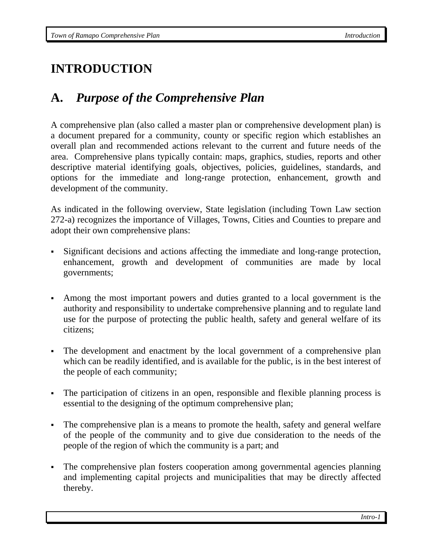# **INTRODUCTION**

### **A.** *Purpose of the Comprehensive Plan*

A comprehensive plan (also called a master plan or comprehensive development plan) is a document prepared for a community, county or specific region which establishes an overall plan and recommended actions relevant to the current and future needs of the area. Comprehensive plans typically contain: maps, graphics, studies, reports and other descriptive material identifying goals, objectives, policies, guidelines, standards, and options for the immediate and long-range protection, enhancement, growth and development of the community.

As indicated in the following overview, State legislation (including Town Law section 272-a) recognizes the importance of Villages, Towns, Cities and Counties to prepare and adopt their own comprehensive plans:

- Significant decisions and actions affecting the immediate and long-range protection, enhancement, growth and development of communities are made by local governments;
- Among the most important powers and duties granted to a local government is the authority and responsibility to undertake comprehensive planning and to regulate land use for the purpose of protecting the public health, safety and general welfare of its citizens;
- The development and enactment by the local government of a comprehensive plan which can be readily identified, and is available for the public, is in the best interest of the people of each community;
- The participation of citizens in an open, responsible and flexible planning process is essential to the designing of the optimum comprehensive plan;
- The comprehensive plan is a means to promote the health, safety and general welfare of the people of the community and to give due consideration to the needs of the people of the region of which the community is a part; and
- The comprehensive plan fosters cooperation among governmental agencies planning and implementing capital projects and municipalities that may be directly affected thereby.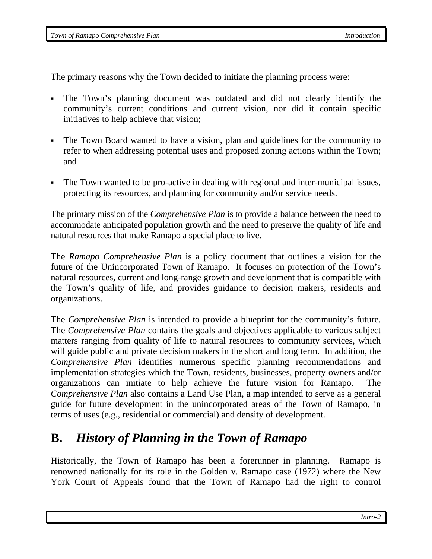*Town of Ramapo Comprehensive Plan Introduction Introduction Introduction* 

The primary reasons why the Town decided to initiate the planning process were:

- The Town's planning document was outdated and did not clearly identify the community's current conditions and current vision, nor did it contain specific initiatives to help achieve that vision;
- The Town Board wanted to have a vision, plan and guidelines for the community to refer to when addressing potential uses and proposed zoning actions within the Town; and
- The Town wanted to be pro-active in dealing with regional and inter-municipal issues, protecting its resources, and planning for community and/or service needs.

The primary mission of the *Comprehensive Plan* is to provide a balance between the need to accommodate anticipated population growth and the need to preserve the quality of life and natural resources that make Ramapo a special place to live.

The *Ramapo Comprehensive Plan* is a policy document that outlines a vision for the future of the Unincorporated Town of Ramapo. It focuses on protection of the Town's natural resources, current and long-range growth and development that is compatible with the Town's quality of life, and provides guidance to decision makers, residents and organizations.

The *Comprehensive Plan* is intended to provide a blueprint for the community's future. The *Comprehensive Plan* contains the goals and objectives applicable to various subject matters ranging from quality of life to natural resources to community services, which will guide public and private decision makers in the short and long term. In addition, the *Comprehensive Plan* identifies numerous specific planning recommendations and implementation strategies which the Town, residents, businesses, property owners and/or organizations can initiate to help achieve the future vision for Ramapo. The *Comprehensive Plan also contains a Land Use Plan, a map intended to serve as a general* guide for future development in the unincorporated areas of the Town of Ramapo, in terms of uses (e.g., residential or commercial) and density of development.

### **B.** *History of Planning in the Town of Ramapo*

Historically, the Town of Ramapo has been a forerunner in planning. Ramapo is renowned nationally for its role in the Golden v. Ramapo case (1972) where the New York Court of Appeals found that the Town of Ramapo had the right to control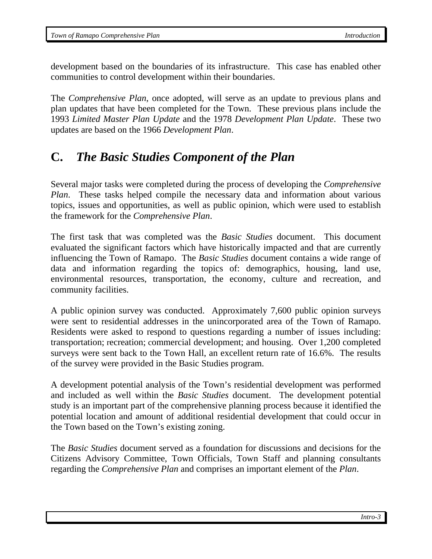development based on the boundaries of its infrastructure. This case has enabled other communities to control development within their boundaries.

The *Comprehensive Plan*, once adopted, will serve as an update to previous plans and plan updates that have been completed for the Town. These previous plans include the 1993 *Limited Master Plan Update* and the 1978 *Development Plan Update*. These two updates are based on the 1966 *Development Plan*.

### **C.** *The Basic Studies Component of the Plan*

Several major tasks were completed during the process of developing the *Comprehensive Plan*. These tasks helped compile the necessary data and information about various topics, issues and opportunities, as well as public opinion, which were used to establish the framework for the *Comprehensive Plan*.

The first task that was completed was the *Basic Studies* document. This document evaluated the significant factors which have historically impacted and that are currently influencing the Town of Ramapo. The *Basic Studies* document contains a wide range of data and information regarding the topics of: demographics, housing, land use, environmental resources, transportation, the economy, culture and recreation, and community facilities.

A public opinion survey was conducted. Approximately 7,600 public opinion surveys were sent to residential addresses in the unincorporated area of the Town of Ramapo. Residents were asked to respond to questions regarding a number of issues including: transportation; recreation; commercial development; and housing. Over 1,200 completed surveys were sent back to the Town Hall, an excellent return rate of 16.6%. The results of the survey were provided in the Basic Studies program.

A development potential analysis of the Town's residential development was performed and included as well within the *Basic Studies* document. The development potential study is an important part of the comprehensive planning process because it identified the potential location and amount of additional residential development that could occur in the Town based on the Town's existing zoning.

The *Basic Studies* document served as a foundation for discussions and decisions for the Citizens Advisory Committee, Town Officials, Town Staff and planning consultants regarding the *Comprehensive Plan* and comprises an important element of the *Plan*.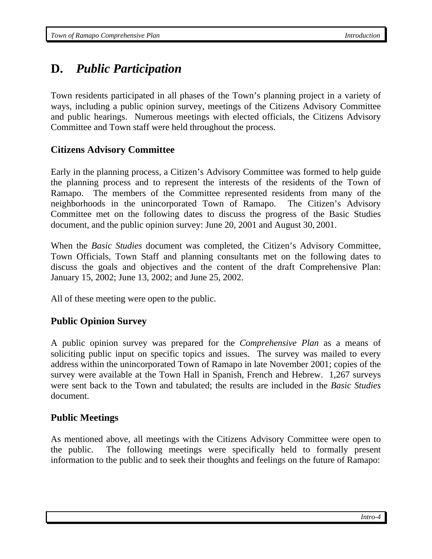# **D.** *Public Participation*

Town residents participated in all phases of the Town's planning project in a variety of ways, including a public opinion survey, meetings of the Citizens Advisory Committee and public hearings. Numerous meetings with elected officials, the Citizens Advisory Committee and Town staff were held throughout the process.

#### **Citizens Advisory Committee**

Early in the planning process, a Citizen's Advisory Committee was formed to help guide the planning process and to represent the interests of the residents of the Town of Ramapo. The members of the Committee represented residents from many of the neighborhoods in the unincorporated Town of Ramapo. The Citizen's Advisory Committee met on the following dates to discuss the progress of the Basic Studies document, and the public opinion survey: June 20, 2001 and August 30, 2001.

When the *Basic Studies* document was completed, the Citizen's Advisory Committee, Town Officials, Town Staff and planning consultants met on the following dates to discuss the goals and objectives and the content of the draft Comprehensive Plan: January 15, 2002; June 13, 2002; and June 25, 2002.

All of these meeting were open to the public.

#### **Public Opinion Survey**

A public opinion survey was prepared for the *Comprehensive Plan* as a means of soliciting public input on specific topics and issues. The survey was mailed to every address within the unincorporated Town of Ramapo in late November 2001; copies of the survey were available at the Town Hall in Spanish, French and Hebrew. 1,267 surveys were sent back to the Town and tabulated; the results are included in the *Basic Studies* document.

#### **Public Meetings**

As mentioned above, all meetings with the Citizens Advisory Committee were open to the public. The following meetings were specifically held to formally present information to the public and to seek their thoughts and feelings on the future of Ramapo: